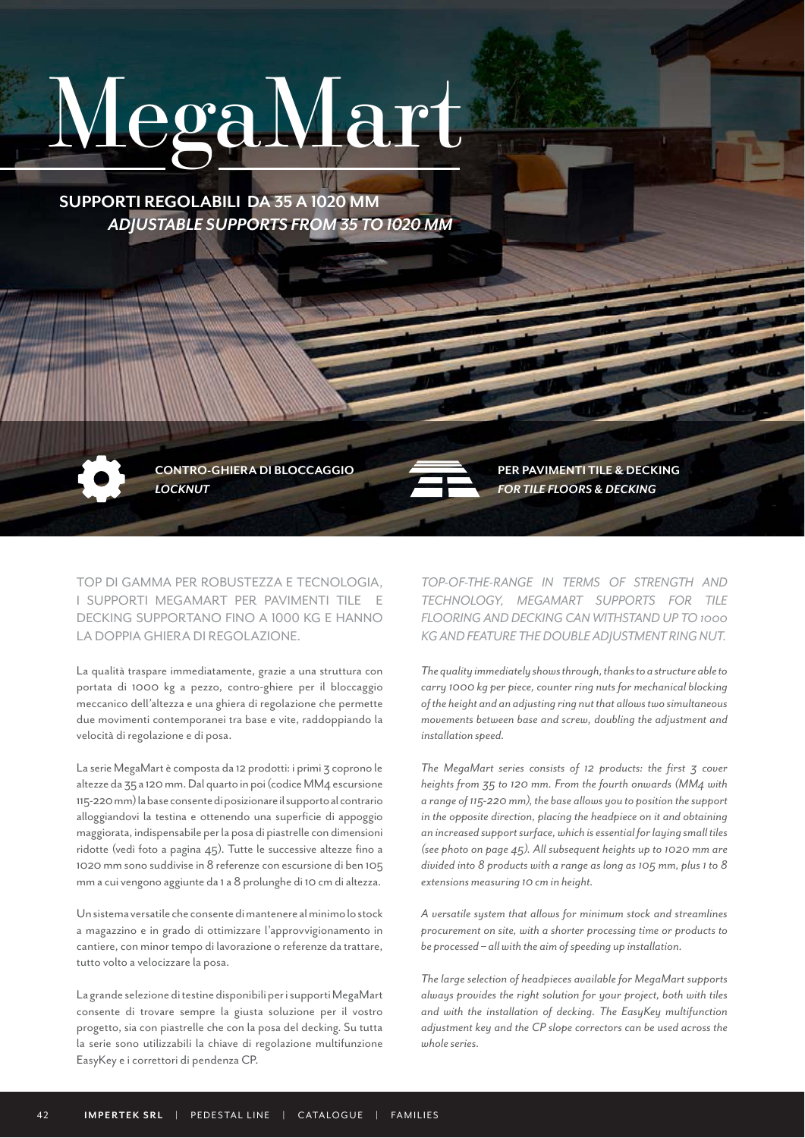# MegaMart

 *ADJUSTABLE SUPPORTS FROM 35 TO 1020 MM* **SUPPORTI REGOLABILI DA 35 A 1020 MM**

> *LOCKNUT*  **CONTRO-GHIERA DI BLOCCAGGIO**

TOP DI GAMMA PER ROBUSTEZZA E TECNOLOGIA, I SUPPORTI MEGAMART PER PAVIMENTI TILE E DECKING SUPPORTANO FINO A 1000 KG E HANNO LA DOPPIA GHIERA DI REGOLAZIONE.

La qualità traspare immediatamente, grazie a una struttura con portata di 1000 kg a pezzo, contro-ghiere per il bloccaggio meccanico dell'altezza e una ghiera di regolazione che permette due movimenti contemporanei tra base e vite, raddoppiando la velocità di regolazione e di posa.

La serie MegaMart è composta da 12 prodotti: i primi 3 coprono le altezze da 35 a 120 mm. Dal quarto in poi (codice MM4 escursione 115-220 mm) la base consente di posizionare il supporto al contrario alloggiandovi la testina e ottenendo una superficie di appoggio maggiorata, indispensabile per la posa di piastrelle con dimensioni ridotte (vedi foto a pagina 45). Tutte le successive altezze fino a 1020 mm sono suddivise in 8 referenze con escursione di ben 105 mm a cui vengono aggiunte da 1 a 8 prolunghe di 10 cm di altezza.

Un sistema versatile che consente di mantenere al minimo lo stock a magazzino e in grado di ottimizzare l'approvvigionamento in cantiere, con minor tempo di lavorazione o referenze da trattare, tutto volto a velocizzare la posa.

La grande selezione di testine disponibili per i supporti MegaMart consente di trovare sempre la giusta soluzione per il vostro progetto, sia con piastrelle che con la posa del decking. Su tutta la serie sono utilizzabili la chiave di regolazione multifunzione EasyKey e i correttori di pendenza CP.

*FOR TILE FLOORS & DECKING* **PER PAVIMENTI TILE & DECKING**

*TOP-OF-THE-RANGE IN TERMS OF STRENGTH AND TECHNOLOGY, MEGAMART SUPPORTS FOR TILE FLOORING AND DECKING CAN WITHSTAND UP TO 1000 KG AND FEATURE THE DOUBLE ADJUSTMENT RING NUT.*

*The quality immediately shows through, thanks to a structure able to carry 1000 kg per piece, counter ring nuts for mechanical blocking of the height and an adjusting ring nut that allows two simultaneous movements between base and screw, doubling the adjustment and installation speed.*

*The MegaMart series consists of 12 products: the first 3 cover heights from 35 to 120 mm. From the fourth onwards (MM4 with a range of 115-220 mm), the base allows you to position the support in the opposite direction, placing the headpiece on it and obtaining an increased support surface, which is essential for laying small tiles (see photo on page 45). All subsequent heights up to 1020 mm are divided into 8 products with a range as long as 105 mm, plus 1 to 8 extensions measuring 10 cm in height.*

*A versatile system that allows for minimum stock and streamlines procurement on site, with a shorter processing time or products to be processed – all with the aim of speeding up installation.*

*The large selection of headpieces available for MegaMart supports always provides the right solution for your project, both with tiles and with the installation of decking. The EasyKey multifunction adjustment key and the CP slope correctors can be used across the whole series.*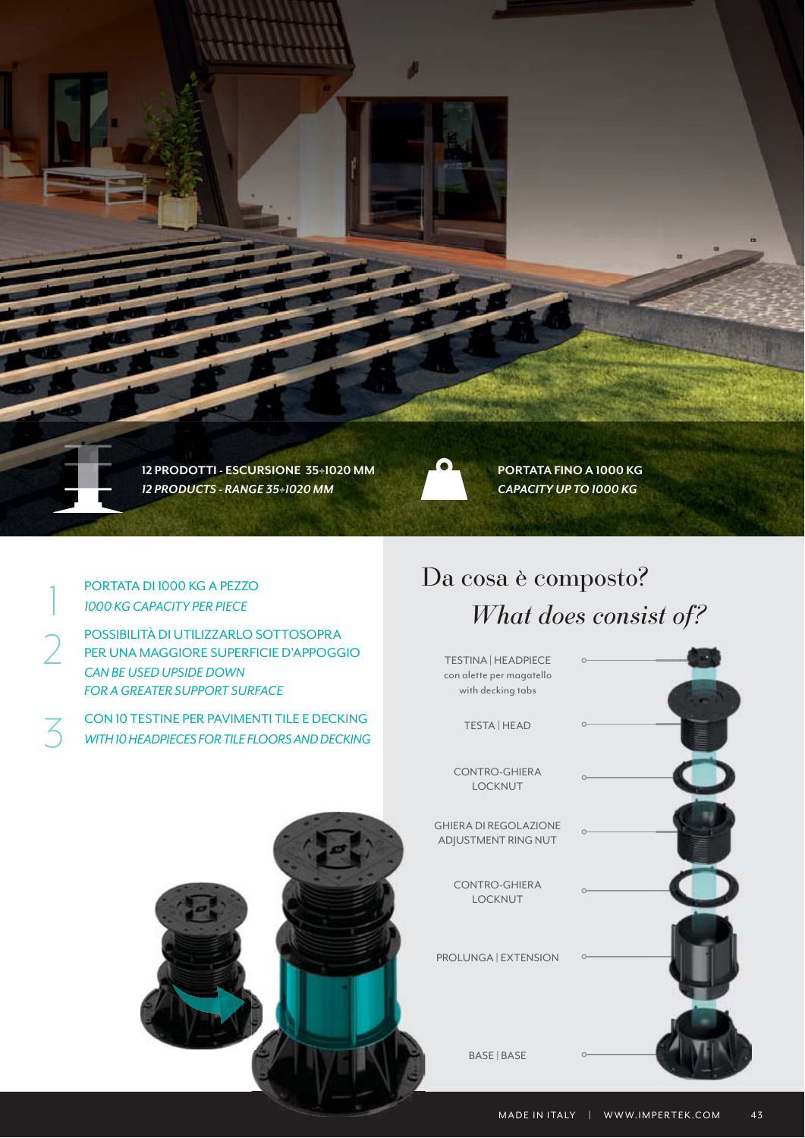

PORTATA DI 1000 KG A PEZZO *1000 KG CAPACITY PER PIECE*

2 POSSIBILITÀ DI UTILIZZARLO SOTTOSOPRA PER UNA MAGGIORE SUPERFICIE D'APPOGGIO *CAN BE USED UPSIDE DOWN FOR A GREATER SUPPORT SURFACE*

CON 10 TESTINE PER PAVIMENTI TILE E DECKING<br>WITH 10 HEADPIECES FOR TILE FLOORS AND DECKING *WITH 10 HEADPIECES FOR TILE FLOORS AND DECKING*

### *What does consist of?* Da cosa è composto?

TESTINA | HEADPIECE con alette per magatello with decking tabs

TESTA | HEAD

CONTRO-GHIERA LOCKNUT

GHIERA DI REGOLAZIONE ADJUSTMENT RING NUT

> CONTRO-GHIERA LOCKNUT

PROLUNGA | EXTENSION

BASE | BASE

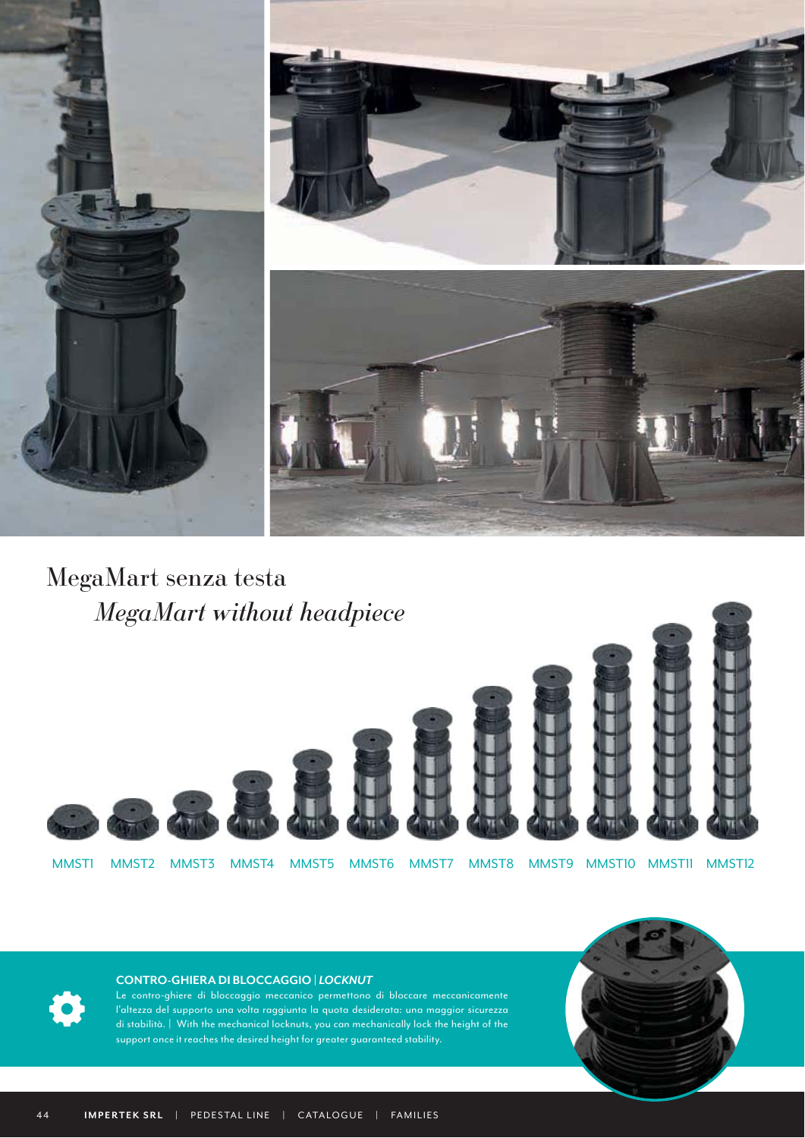

 *MegaMart without headpiece* MegaMart senza testa



#### **CONTRO-GHIERA DI BLOCCAGGIO |** *LOCKNUT*

Le contro-ghiere di bloccaggio meccanico permettono di bloccare meccanicamente l'altezza del supporto una volta raggiunta la quota desiderata: una maggior sicurezza di stabilità. | With the mechanical locknuts, you can mechanically lock the height of the support once it reaches the desired height for greater guaranteed stability.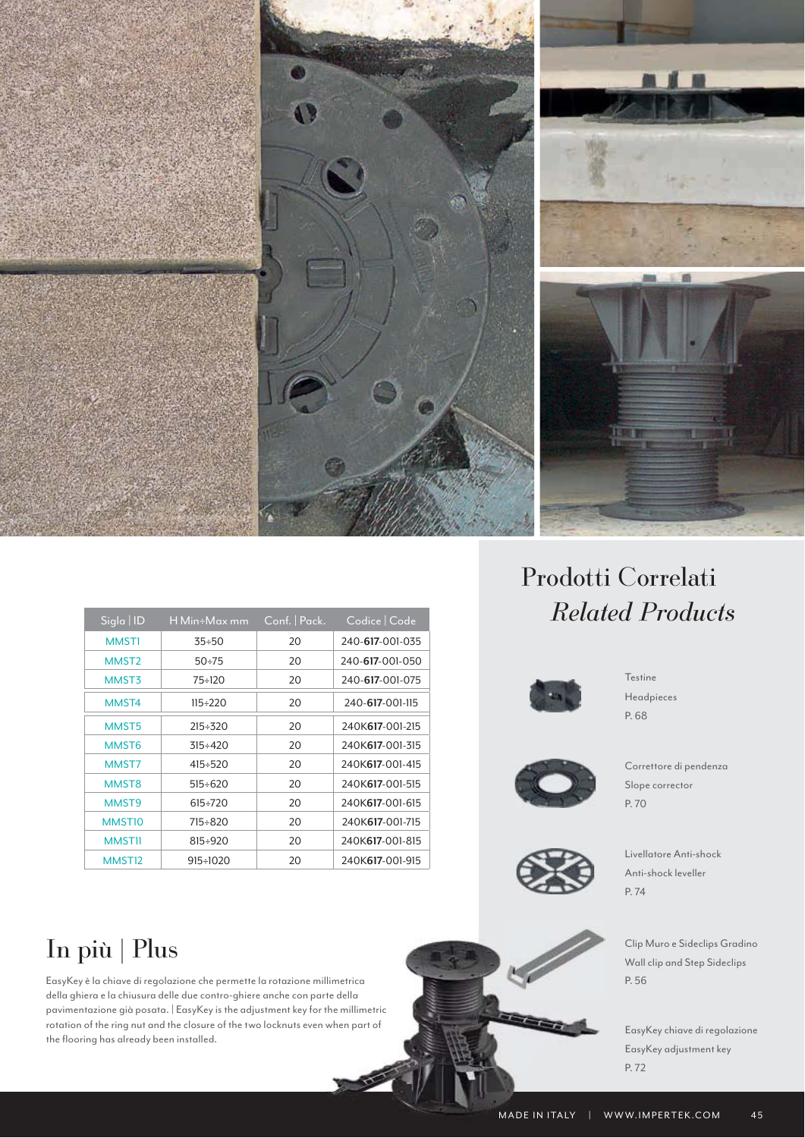

| Sigla   <u>ID</u>  | H Min÷Max mm    | Conf.   Pack. | Codice Code     |
|--------------------|-----------------|---------------|-----------------|
| <b>MMST1</b>       | $35 + 50$       | 20            | 240-617-001-035 |
| MMST <sub>2</sub>  | $50 + 75$       | 20            | 240-617-001-050 |
| MMST3              | $75 \div 120$   | 20            | 240-617-001-075 |
| MMST4              | $115 \div 220$  | 20            | 240-617-001-115 |
| MMST <sub>5</sub>  | $215 + 320$     | 20            | 240K617-001-215 |
| MMST <sub>6</sub>  | $315 \div 420$  | 20            | 240K617-001-315 |
| MMST7              | $415 + 520$     | 20            | 240K617-001-415 |
| MMST <sub>8</sub>  | $515 \div 620$  | 20            | 240K617-001-515 |
| MMST9              | $615+720$       | 20            | 240K617-001-615 |
| MMST <sub>10</sub> | 715÷820         | 20            | 240K617-001-715 |
| <b>MMST11</b>      | 815÷920         | 20            | 240K617-001-815 |
| MMST <sub>12</sub> | $915 \div 1020$ | 20            | 240K617-001-915 |

## In più | Plus

EasyKey è la chiave di regolazione che permette la rotazione millimetrica della ghiera e la chiusura delle due contro-ghiere anche con parte della pavimentazione già posata. | EasyKey is the adjustment key for the millimetric rotation of the ring nut and the closure of the two locknuts even when part of the flooring has already been installed.

### *Related Products*  Prodotti Correlati



Headpieces **Testine** P. 68



Slope corrector Correttore di pendenza P. 70



Anti-shock leveller Livellatore Anti-shock P. 74

Wall clip and Step Sideclips Clip Muro e Sideclips Gradino P. 56

EasyKey adjustment key EasyKey chiave di regolazione P. 72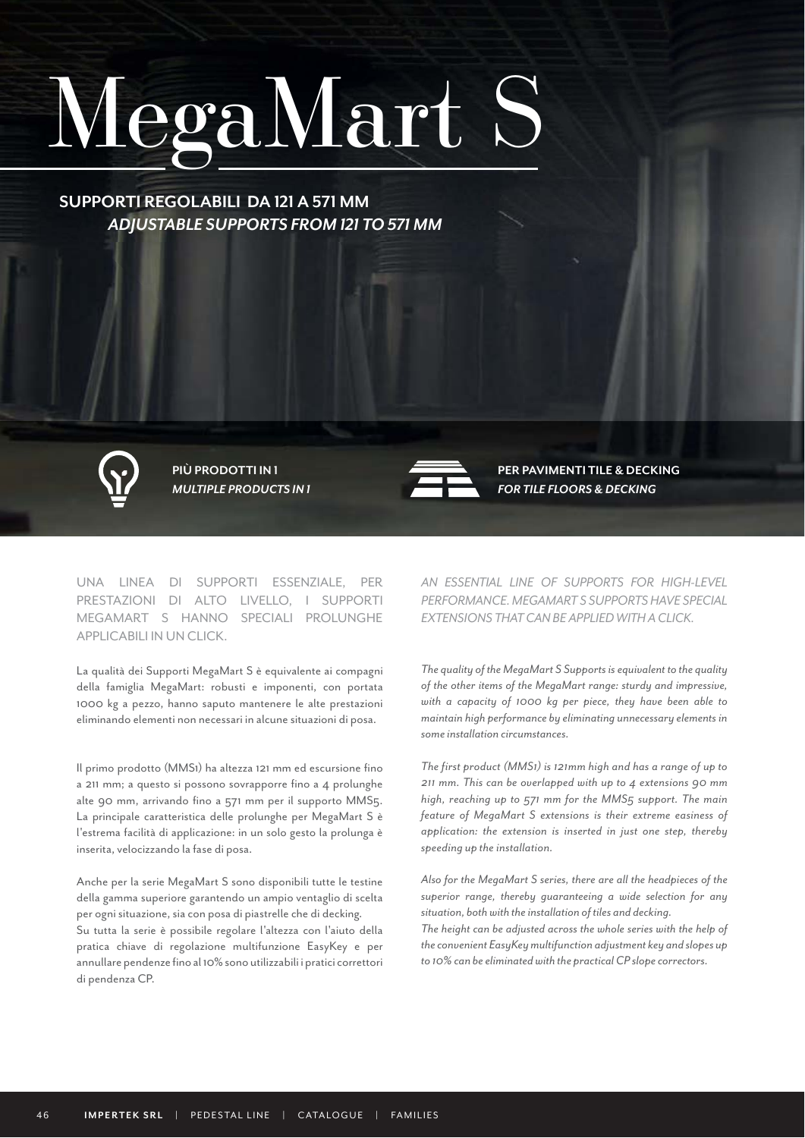## MegaMart S

 *ADJUSTABLE SUPPORTS FROM 121 TO 571 MM* **SUPPORTI REGOLABILI DA 121 A 571 MM**



**PIÙ PRODOTTI IN 1**



*MULTIPLE PRODUCTS IN 1 FOR TILE FLOORS & DECKING* **PER PAVIMENTI TILE & DECKING**

UNA LINEA DI SUPPORTI ESSENZIALE, PER PRESTAZIONI DI ALTO LIVELLO, I SUPPORTI MEGAMART S HANNO SPECIALI PROLUNGHE APPLICABILI IN UN CLICK.

La qualità dei Supporti MegaMart S è equivalente ai compagni della famiglia MegaMart: robusti e imponenti, con portata 1000 kg a pezzo, hanno saputo mantenere le alte prestazioni eliminando elementi non necessari in alcune situazioni di posa.

Il primo prodotto (MMS1) ha altezza 121 mm ed escursione fino a 211 mm; a questo si possono sovrapporre fino a 4 prolunghe alte 90 mm, arrivando fino a 571 mm per il supporto MMS5. La principale caratteristica delle prolunghe per MegaMart S è l'estrema facilità di applicazione: in un solo gesto la prolunga è inserita, velocizzando la fase di posa.

Anche per la serie MegaMart S sono disponibili tutte le testine della gamma superiore garantendo un ampio ventaglio di scelta per ogni situazione, sia con posa di piastrelle che di decking. Su tutta la serie è possibile regolare l'altezza con l'aiuto della pratica chiave di regolazione multifunzione EasyKey e per annullare pendenze fino al 10% sono utilizzabili i pratici correttori di pendenza CP.

*AN ESSENTIAL LINE OF SUPPORTS FOR HIGH-LEVEL PERFORMANCE. MEGAMART S SUPPORTS HAVE SPECIAL EXTENSIONS THAT CAN BE APPLIED WITH A CLICK.*

*The quality of the MegaMart S Supports is equivalent to the quality of the other items of the MegaMart range: sturdy and impressive, with a capacity of 1000 kg per piece, they have been able to maintain high performance by eliminating unnecessary elements in some installation circumstances.* 

*The first product (MMS1) is 121mm high and has a range of up to 211 mm. This can be overlapped with up to 4 extensions 90 mm high, reaching up to 571 mm for the MMS5 support. The main feature of MegaMart S extensions is their extreme easiness of application: the extension is inserted in just one step, thereby speeding up the installation.*

*Also for the MegaMart S series, there are all the headpieces of the superior range, thereby guaranteeing a wide selection for any situation, both with the installation of tiles and decking.*

*The height can be adjusted across the whole series with the help of the convenient EasyKey multifunction adjustment key and slopes up to 10% can be eliminated with the practical CP slope correctors.*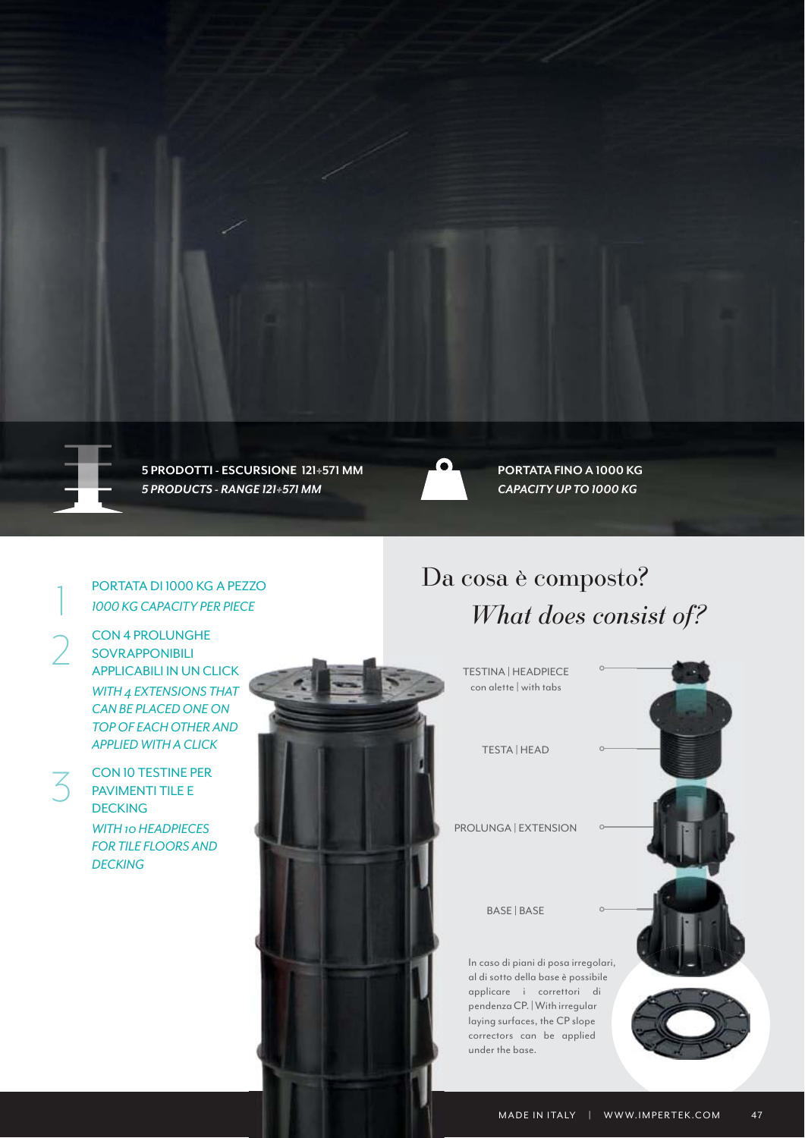

*5 PRODUCTS - RANGE 121÷571 MM CAPACITY UP TO 1000 KG* **5 PRODOTTI - ESCURSIONE 121÷571 MM PORTATA FINO A 1000 KG**



#### PORTATA DI 1000 KG A PEZZO *1000 KG CAPACITY PER PIECE*

CON 4 PROLUNGHE SOVRAPPONIBILI APPLICABILI IN UN CLICK *WITH 4 EXTENSIONS THAT CAN BE PLACED ONE ON TOP OF EACH OTHER AND APPLIED WITH A CLICK*

CON 10 TESTINE PER PAVIMENTI TILE E **DECKING** *WITH 10 HEADPIECES FOR TILE FLOORS AND DECKING*



### *What does consist of?* Da cosa è composto?

TESTINA | HEADPIECE con alette | with tabs

TESTA | HEAD

PROLUNGA | EXTENSION

BASE | BASE

In caso di piani di posa irregolari, al di sotto della base è possibile applicare i correttori di pendenza CP. | With irregular laying surfaces, the CP slope correctors can be applied under the base.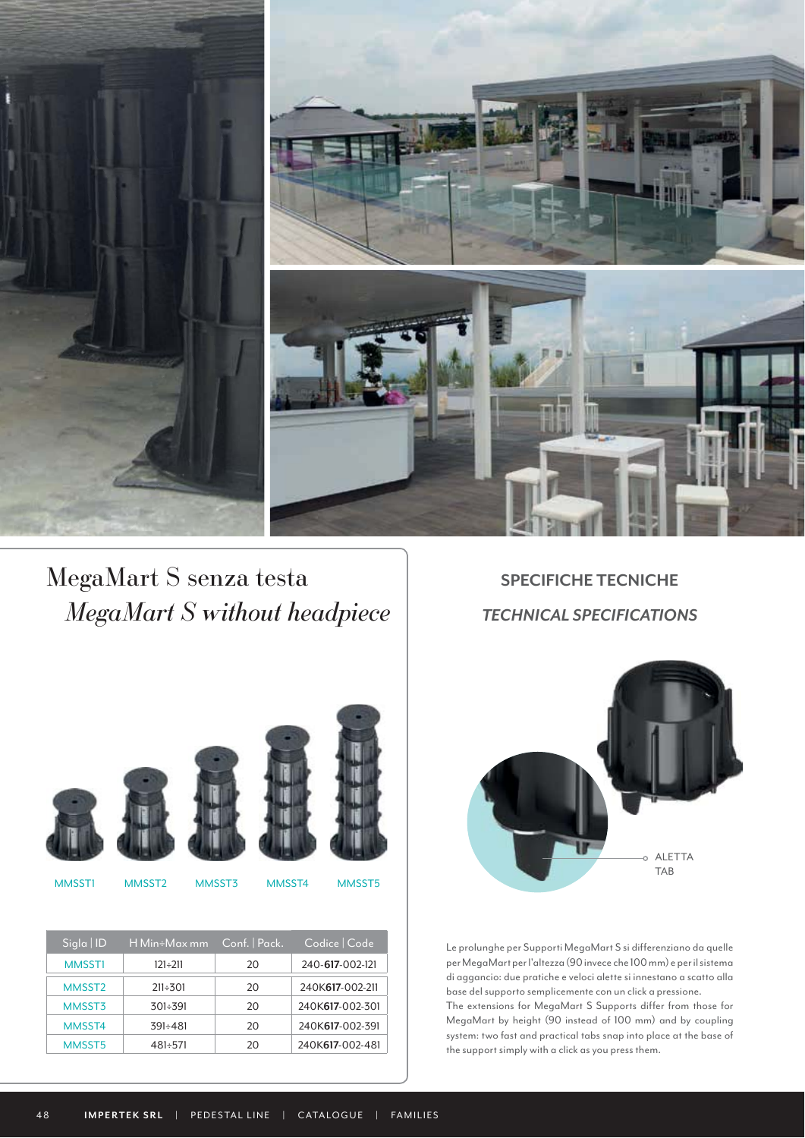

*MegaMart S without headpiece* TECHNICAL SPECIFICATIONS MegaMart S senza testa **SPECIFICHE TECNICHE** 







MMSST1 MMSST2 MMSST3 MMSST4 MMSST5

| $Sigla$   ID       | H Min÷Max mm   | Conf.   Pack. | Codice   Code   |
|--------------------|----------------|---------------|-----------------|
| <b>MMSST1</b>      | 121÷211        | 20            | 240-617-002-121 |
| MMSST <sub>2</sub> | $211 \div 301$ | 20            | 240K617-002-211 |
| MMSST3             | 301÷391        | 20            | 240K617-002-301 |
| MMSST4             | $391 \div 481$ | 20            | 240K617-002-391 |
| MMSST5             | 481÷571        | 20            | 240K617-002-481 |



Le prolunghe per Supporti MegaMart S si differenziano da quelle per MegaMart per l'altezza (90 invece che 100 mm) e per il sistema di aggancio: due pratiche e veloci alette si innestano a scatto alla base del supporto semplicemente con un click a pressione. The extensions for MegaMart S Supports differ from those for MegaMart by height (90 instead of 100 mm) and by coupling system: two fast and practical tabs snap into place at the base of the support simply with a click as you press them.